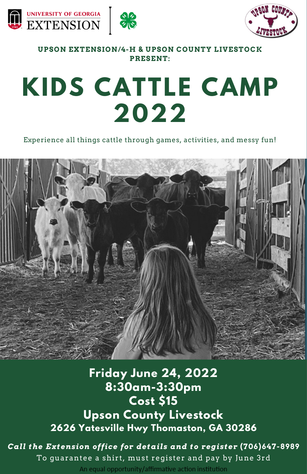





**UPSON EXTENSION/4-H & UPSON COUNTY LIVESTOCK PRESENT:**

## **KIDS CATTLE CAMP 2022**

Experience all things cattle through games, activities, and messy fun!



### **Friday June 24, 2022 8:30am-3:30pm Cost \$15 Upson County Livestock 2626 Yatesville Hwy Thomaston, GA 30286**

*Call the Extension office for details and to register* **(706)647-8989** To guarantee a shirt, must register and pay by June 3rd An equal opportunity/affirmative action institution